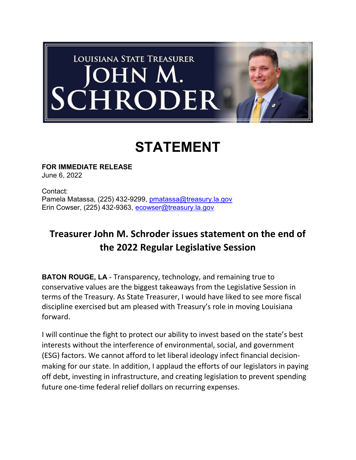

## STATEMENT

FOR IMMEDIATE RELEASE June 6, 2022

Contact: Pamela Matassa, (225) 432-9299, pmatassa@treasury.la.gov Erin Cowser, (225) 432-9363, ecowser@treasury.la.gov

## Treasurer John M. Schroder issues statement on the end of the 2022 Regular Legislative Session

BATON ROUGE, LA - Transparency, technology, and remaining true to conservative values are the biggest takeaways from the Legislative Session in terms of the Treasury. As State Treasurer, I would have liked to see more fiscal discipline exercised but am pleased with Treasury's role in moving Louisiana forward.

I will continue the fight to protect our ability to invest based on the state's best interests without the interference of environmental, social, and government (ESG) factors. We cannot afford to let liberal ideology infect financial decisionmaking for our state. In addition, I applaud the efforts of our legislators in paying off debt, investing in infrastructure, and creating legislation to prevent spending future one-time federal relief dollars on recurring expenses.